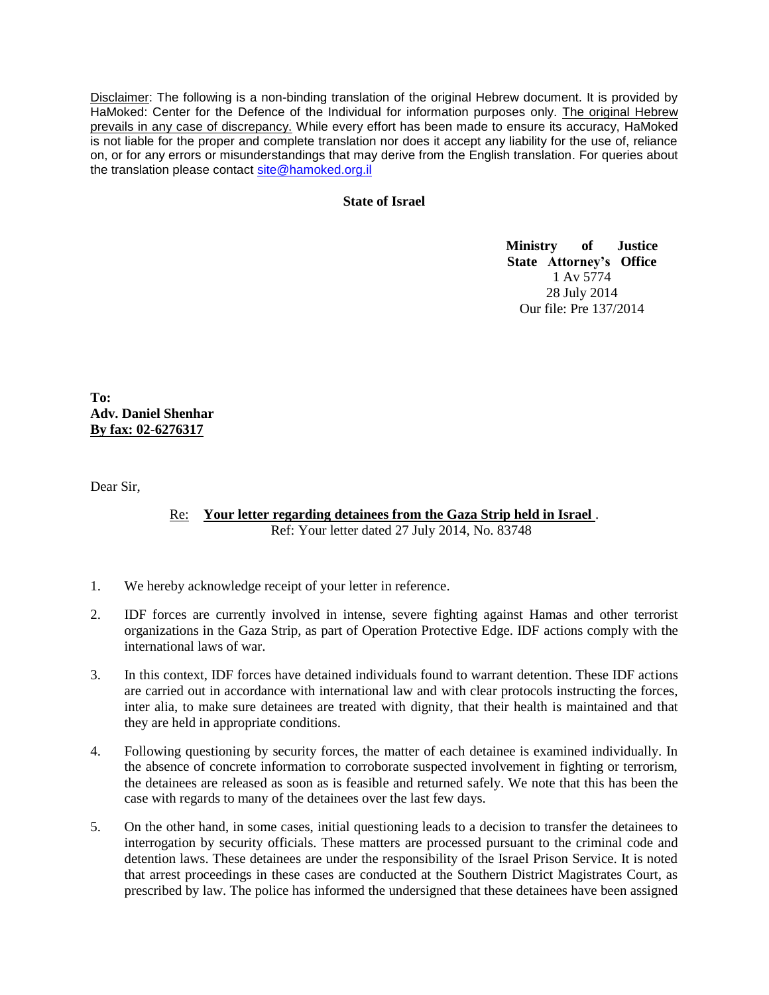Disclaimer: The following is a non-binding translation of the original Hebrew document. It is provided by HaMoked: Center for the Defence of the Individual for information purposes only. The original Hebrew prevails in any case of discrepancy. While every effort has been made to ensure its accuracy, HaMoked is not liable for the proper and complete translation nor does it accept any liability for the use of, reliance on, or for any errors or misunderstandings that may derive from the English translation. For queries about the translation please contact [site@hamoked.org.il](mailto:site@hamoked.org.il)

## **State of Israel**

**Ministry of Justice State Attorney's Office** 1 Av 5774 28 July 2014 Our file: Pre 137/2014

**To: Adv. Daniel Shenhar By fax: 02-6276317**

Dear Sir,

Re: **Your letter regarding detainees from the Gaza Strip held in Israel** . Ref: Your letter dated 27 July 2014, No. 83748

- 1. We hereby acknowledge receipt of your letter in reference.
- 2. IDF forces are currently involved in intense, severe fighting against Hamas and other terrorist organizations in the Gaza Strip, as part of Operation Protective Edge. IDF actions comply with the international laws of war.
- 3. In this context, IDF forces have detained individuals found to warrant detention. These IDF actions are carried out in accordance with international law and with clear protocols instructing the forces, inter alia, to make sure detainees are treated with dignity, that their health is maintained and that they are held in appropriate conditions.
- 4. Following questioning by security forces, the matter of each detainee is examined individually. In the absence of concrete information to corroborate suspected involvement in fighting or terrorism, the detainees are released as soon as is feasible and returned safely. We note that this has been the case with regards to many of the detainees over the last few days.
- 5. On the other hand, in some cases, initial questioning leads to a decision to transfer the detainees to interrogation by security officials. These matters are processed pursuant to the criminal code and detention laws. These detainees are under the responsibility of the Israel Prison Service. It is noted that arrest proceedings in these cases are conducted at the Southern District Magistrates Court, as prescribed by law. The police has informed the undersigned that these detainees have been assigned